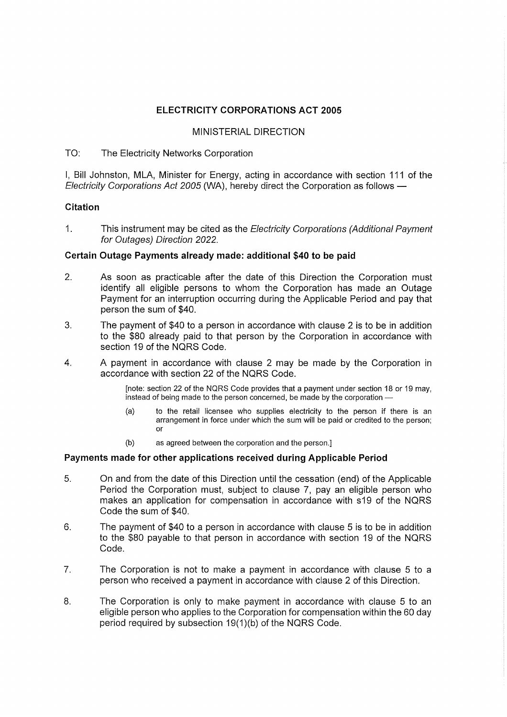# ELECTRICITY CORPORATIONS ACT 2005

### MINISTERIAL DIRECTION

## TO: The Electricity Networks Corporation

I, Bill Johnston, MLA, Minister for Energy, acting in accordance with section 111 of the Electricity Corporations Act 2005 (WA), hereby direct the Corporation as follows

## Citation

1. This instrument may be cited as the Electricity Corporations (Additional Payment for Outages) Direction 2022.

## Certain Outage Payments already made: additional \$40 to be paid

- 2. As soon as practicable after the date of this Direction the Corporation must identify all eligible persons to whom the Corporation has made an Outage Payment for an interruption occurring during the Applicable Period and pay that person the sum of \$40.
- 3. The payment of \$40 to a person in accordance with clause 2 is to be in addition to the \$80 already paid to that person by the Corporation in accordance with section 19 of the NQRS Code.
- 4. A payment in accordance with clause 2 may be made by the Corporation in accordance with section 22 of the NQRS Code.

[note: section 22 of the NQRS Code provides that a payment under section 18 or 19 may, instead of being made to the person concerned, be made by the corporation

- (a) to the retail licensee who supplies electricity to the person if there is an arrangement in force under which the sum will be paid or credited to the person; or
- (b) as agreed between the corporation and the person.]

#### Payments made for other applications received during Applicable Period

- 5. On and from the date of this Direction until the cessation (end) of the Applicable Period the Corporation must, subject to clause 7, pay an eligible person who makes an application for compensation in accordance with s19 of the NQRS Code the sum of \$40.
- 6. The payment of \$40 to a person in accordance with clause 5 is to be in addition to the \$80 payable to that person in accordance with section 19 of the NQRS Code.
- 7. The Corporation is not to make a payment in accordance with clause 5 to a person who received a payment in accordance with clause 2 of this Direction.
- 8. The Corporation is only to make payment in accordance with clause 5 to an eligible person who applies to the Corporation for compensation within the 60 day period required by subsection 19(1)(b) of the NQRS Code.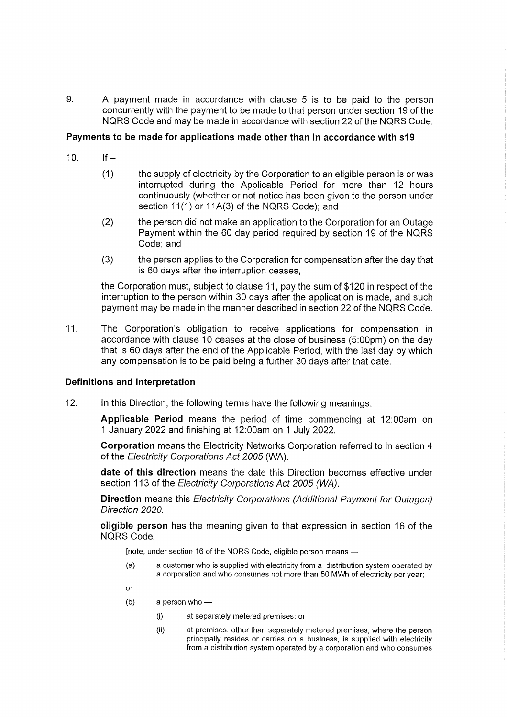9. A payment made in accordance with clause 5 is to be paid to the person concurrently with the payment to be made to that person under section 19 of the NQRS Code and may be made in accordance with section 22 of the NQRS Code.

### Payments to be made for applications made other than in accordance with s19

- 10. If  $-$ 
	- (1) the supply of electricity by the Corporation to an eligible person is or was interrupted during the Applicable Period for more than 12 hours continuously (whether or not notice has been given to the person under section 11(1) or 11A(3) of the NQRS Code); and
	- (2) the person did not make an application to the Corporation for an Outage Payment within the 60 day period required by section 19 of the NQRS Code; and
	- (3) the person applies to the Corporation for compensation after the day that is 60 days after the interruption ceases,

the Corporation must, subject to clause 11, pay the sum of \$120 in respect of the interruption to the person within 30 days after the application is made, and such payment may be made in the manner described in section 22 of the NQRS Code.

11. The Corporation's obligation to receive applications for compensation in accordance with clause 10 ceases at the close of business (5:00pm) on the day that is 60 days after the end of the Applicable Period, with the last day by which any compensation is to be paid being a further 30 days after that date.

#### Definitions and interpretation

12. In this Direction, the following terms have the following meanings:

Applicable Period means the period of time commencing at 12:00am on 1 January 2022 and finishing at 12:00am on 1 July 2022.

Corporation means the Electricity Networks Corporation referred to in section 4 of the Electricity Corporations Act 2005 (WA).

date of this direction means the date this Direction becomes effective under section 113 of the Electricity Corporations Act 2005 (WA).

Direction means this Electricity Corporations (Additional Payment for Outages) Direction 2020.

eligible person has the meaning given to that expression in section 16 of the NQRS Code.

[note, under section 16 of the NQRS Code, eligible person means

(a) a customer who is supplied with electricity from a distribution system operated by a corporation and who consumes not more than 50 MWh of electricity per year;

or

- (b) a person who
	- (i) at separately metered premises; or
	- (ii) at premises, other than separately metered premises, where the person principally resides or carries on a business, is supplied with electricity from a distribution system operated by a corporation and who consumes